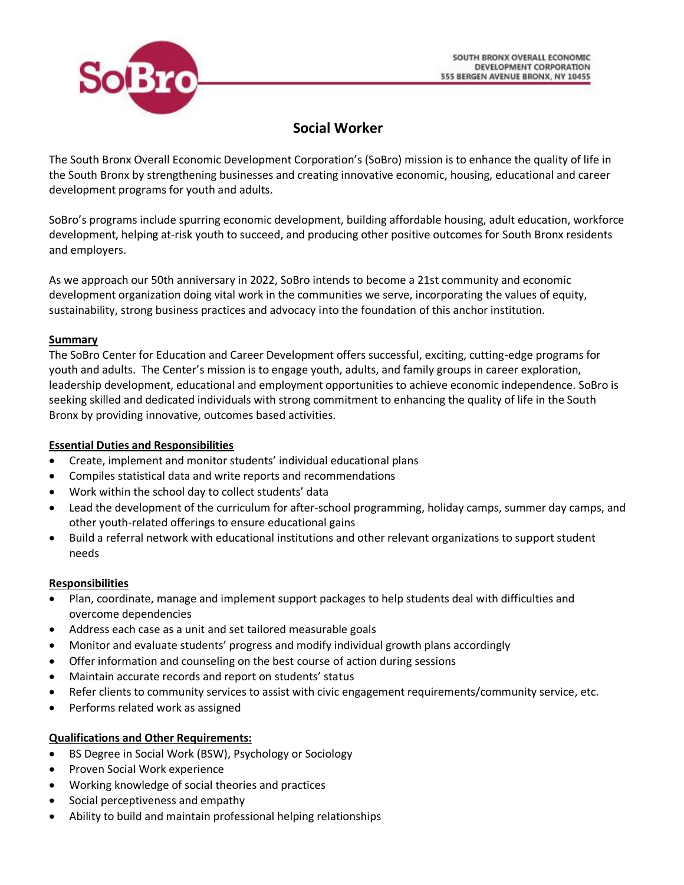

# **Social Worker**

The South Bronx Overall Economic Development Corporation's (SoBro) mission is to enhance the quality of life in the South Bronx by strengthening businesses and creating innovative economic, housing, educational and career development programs for youth and adults.

SoBro's programs include spurring economic development, building affordable housing, adult education, workforce development, helping at-risk youth to succeed, and producing other positive outcomes for South Bronx residents and employers.

As we approach our 50th anniversary in 2022, SoBro intends to become a 21st community and economic development organization doing vital work in the communities we serve, incorporating the values of equity, sustainability, strong business practices and advocacy into the foundation of this anchor institution.

## **Summary**

The SoBro Center for Education and Career Development offers successful, exciting, cutting-edge programs for youth and adults. The Center's mission is to engage youth, adults, and family groups in career exploration, leadership development, educational and employment opportunities to achieve economic independence. SoBro is seeking skilled and dedicated individuals with strong commitment to enhancing the quality of life in the South Bronx by providing innovative, outcomes based activities.

## **Essential Duties and Responsibilities**

- Create, implement and monitor students' individual educational plans
- Compiles statistical data and write reports and recommendations
- Work within the school day to collect students' data
- Lead the development of the curriculum for after-school programming, holiday camps, summer day camps, and other youth-related offerings to ensure educational gains
- Build a referral network with educational institutions and other relevant organizations to support student needs

## **Responsibilities**

- Plan, coordinate, manage and implement support packages to help students deal with difficulties and overcome dependencies
- Address each case as a unit and set tailored measurable goals
- Monitor and evaluate students' progress and modify individual growth plans accordingly
- Offer information and counseling on the best course of action during sessions
- Maintain accurate records and report on students' status
- Refer clients to community services to assist with civic engagement requirements/community service, etc.
- Performs related work as assigned

## **Qualifications and Other Requirements:**

- BS Degree in Social Work (BSW), Psychology or Sociology
- Proven Social Work experience
- Working knowledge of social theories and practices
- Social perceptiveness and empathy
- Ability to build and maintain professional helping relationships